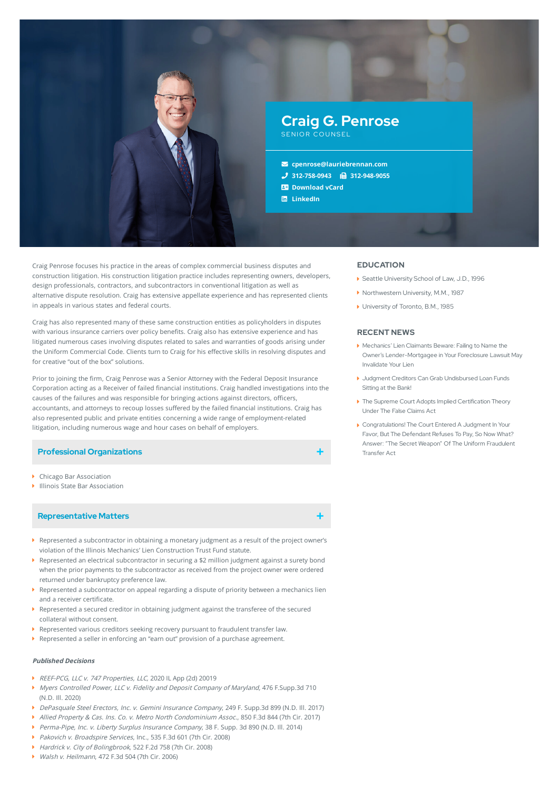

Craig Penrose focuses his practice in the areas of complex commercial business disputes and construction litigation. His construction litigation practice includes representing owners, developers, design professionals, contractors, and subcontractors in conventional litigation as well as alternative dispute resolution. Craig has extensive appellate experience and has represented clients in appeals in various states and federal courts.

Craig has also represented many of these same construction entities as policyholders in disputes with various insurance carriers over policy benefits. Craig also has extensive experience and has litigated numerous cases involving disputes related to sales and warranties of goods arising under the Uniform Commercial Code. Clients turn to Craig for his effective skills in resolving disputes and for creative "out of the box" solutions.

Prior to joining the firm, Craig Penrose was a Senior Attorney with the Federal Deposit Insurance Corporation acting as a Receiver of failed financial institutions. Craig handled investigations into the causes of the failures and was responsible for bringing actions against directors, officers, accountants, and attorneys to recoup losses suffered by the failed financial institutions. Craig has also represented public and private entities concerning a wide range of employment-related litigation, including numerous wage and hour cases on behalf of employers.

### **Professional Organizations**

- Chicago Bar Association
- Illinois State Bar Association

### **Representative Matters**

- Represented a subcontractor in obtaining a monetary judgment as a result of the project owner's violation of the Illinois Mechanics' Lien Construction Trust Fund statute.
- Represented an electrical subcontractor in securing a \$2 million judgment against a surety bond when the prior payments to the subcontractor as received from the project owner were ordered returned under bankruptcy preference law.
- $\blacktriangleright$  Represented a subcontractor on appeal regarding a dispute of priority between a mechanics lien and a receiver certificate.
- Represented a secured creditor in obtaining judgment against the transferee of the secured collateral without consent.
- Represented various creditors seeking recovery pursuant to fraudulent transfer law.
- Represented a seller in enforcing an "earn out" provision of a purchase agreement.

## **Published Decisions**

- ▶ REEF-PCG, LLC v. 747 Properties, LLC, 2020 IL App (2d) 20019
- Myers Controlled Power, LLC v. Fidelity and Deposit Company of Maryland, 476 F.Supp.3d 710 (N.D. Ill. 2020)
- DePasquale Steel Erectors, Inc. v. Gemini Insurance Company, 249 F. Supp.3d 899 (N.D. Ill. 2017)
- Allied Property & Cas. Ins. Co. v. Metro North Condominium Assoc., 850 F.3d 844 (7th Cir. 2017)
- Perma-Pipe, Inc. v. Liberty Surplus Insurance Company, 38 F. Supp. 3d 890 (N.D. III, 2014)
- Pakovich v. Broadspire Services, Inc., 535 F.3d 601 (7th Cir. 2008)
- ▶ Hardrick v. City of Bolingbrook, 522 F.2d 758 (7th Cir. 2008)
- ▶ *Walsh v. Heilmann*, 472 F.3d 504 (7th Cir. 2006)

# **EDUCATION**

- ▶ Seattle University School of Law, J.D., 1996
- ▶ Northwestern University, M.M., 1987
- ▶ University of Toronto, B.M., 1985

#### **RECENT NEWS**

- Mechanics' Lien Claimants Beware: Failing to Name the Owner's [Lender-Mortgagee](https://www.lauriebrennan.com/blog/mechanics-lien-claimants-beware-failing-to-name-the-owners-lender-mortgagee-in-your-foreclosure-lawsuit-may-invalidate-your-lien/) in Your Foreclosure Lawsuit May Invalidate Your Lien
- Judgment Creditors Can Grab [Undisbursed](https://www.lauriebrennan.com/blog/judgment-creditors-can-grab-undisbursed-loan-funds-sitting-at-the-bank/) Loan Funds Sitting at the Bank!
- The Supreme Court Adopts Implied [Certification](https://www.lauriebrennan.com/blog/the-supreme-court-adopts-implied-certification-theory-under-the-false-claims-act/) Theory Under The False Claims Act
- [Congratulations!](https://www.lauriebrennan.com/blog/congratulations-the-court-entered-a-judgment-in-your-favor-but-the-defendant-refuses-to-pay-so-now-what-answer-the-secret-weapon-of-the-uniform-fraudulent-transfer-act/) The Court Entered A Judgment In Your Favor, But The Defendant Refuses To Pay, So Now What? Answer: "The Secret Weapon" Of The Uniform Fraudulent Transfer Act